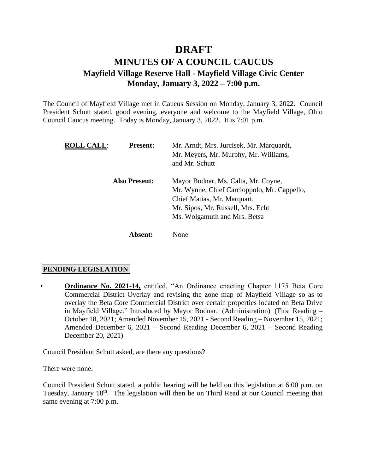# **DRAFT**

# **MINUTES OF A COUNCIL CAUCUS Mayfield Village Reserve Hall - Mayfield Village Civic Center Monday, January 3, 2022 – 7:00 p.m.**

The Council of Mayfield Village met in Caucus Session on Monday, January 3, 2022. Council President Schutt stated, good evening, everyone and welcome to the Mayfield Village, Ohio Council Caucus meeting. Today is Monday, January 3, 2022. It is 7:01 p.m.

| <b>ROLL CALL:</b> | <b>Present:</b>      | Mr. Arndt, Mrs. Jurcisek, Mr. Marquardt,<br>Mr. Meyers, Mr. Murphy, Mr. Williams,<br>and Mr. Schutt                                                                                    |
|-------------------|----------------------|----------------------------------------------------------------------------------------------------------------------------------------------------------------------------------------|
|                   | <b>Also Present:</b> | Mayor Bodnar, Ms. Calta, Mr. Coyne,<br>Mr. Wynne, Chief Carcioppolo, Mr. Cappello,<br>Chief Matias, Mr. Marquart,<br>Mr. Sipos, Mr. Russell, Mrs. Echt<br>Ms. Wolgamuth and Mrs. Betsa |
|                   | Absent:              | None                                                                                                                                                                                   |

## **PENDING LEGISLATION**

• **Ordinance No. 2021-14,** entitled, "An Ordinance enacting Chapter 1175 Beta Core Commercial District Overlay and revising the zone map of Mayfield Village so as to overlay the Beta Core Commercial District over certain properties located on Beta Drive in Mayfield Village." Introduced by Mayor Bodnar. (Administration) (First Reading – October 18, 2021; Amended November 15, 2021 - Second Reading – November 15, 2021; Amended December 6, 2021 – Second Reading December 6, 2021 – Second Reading December 20, 2021)

Council President Schutt asked, are there any questions?

There were none.

Council President Schutt stated, a public hearing will be held on this legislation at 6:00 p.m. on Tuesday, January 18<sup>th</sup>. The legislation will then be on Third Read at our Council meeting that same evening at 7:00 p.m.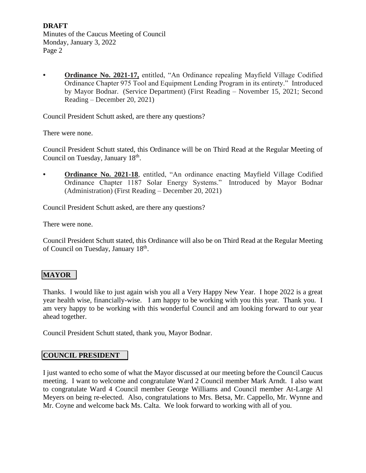**• Ordinance No. 2021-17,** entitled, "An Ordinance repealing Mayfield Village Codified Ordinance Chapter 975 Tool and Equipment Lending Program in its entirety." Introduced by Mayor Bodnar. (Service Department) (First Reading – November 15, 2021; Second Reading – December 20, 2021)

Council President Schutt asked, are there any questions?

There were none.

Council President Schutt stated, this Ordinance will be on Third Read at the Regular Meeting of Council on Tuesday, January 18<sup>th</sup>.

**• Ordinance No. 2021-18**, entitled, "An ordinance enacting Mayfield Village Codified Ordinance Chapter 1187 Solar Energy Systems." Introduced by Mayor Bodnar (Administration) (First Reading – December 20, 2021)

Council President Schutt asked, are there any questions?

There were none.

Council President Schutt stated, this Ordinance will also be on Third Read at the Regular Meeting of Council on Tuesday, January 18<sup>th</sup>.

## **MAYOR**

Thanks. I would like to just again wish you all a Very Happy New Year. I hope 2022 is a great year health wise, financially-wise. I am happy to be working with you this year. Thank you. I am very happy to be working with this wonderful Council and am looking forward to our year ahead together.

Council President Schutt stated, thank you, Mayor Bodnar.

#### **COUNCIL PRESIDENT**

I just wanted to echo some of what the Mayor discussed at our meeting before the Council Caucus meeting. I want to welcome and congratulate Ward 2 Council member Mark Arndt. I also want to congratulate Ward 4 Council member George Williams and Council member At-Large Al Meyers on being re-elected. Also, congratulations to Mrs. Betsa, Mr. Cappello, Mr. Wynne and Mr. Coyne and welcome back Ms. Calta. We look forward to working with all of you.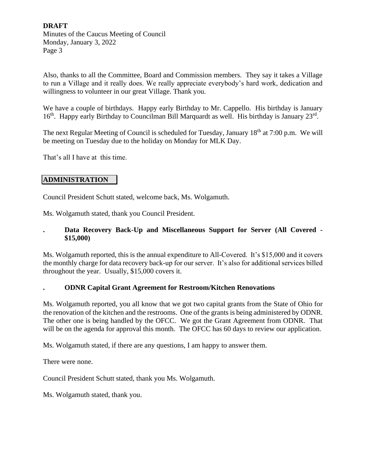Also, thanks to all the Committee, Board and Commission members. They say it takes a Village to run a Village and it really does. We really appreciate everybody's hard work, dedication and willingness to volunteer in our great Village. Thank you.

We have a couple of birthdays. Happy early Birthday to Mr. Cappello. His birthday is January 16<sup>th</sup>. Happy early Birthday to Councilman Bill Marquardt as well. His birthday is January 23<sup>rd</sup>.

The next Regular Meeting of Council is scheduled for Tuesday, January 18<sup>th</sup> at 7:00 p.m. We will be meeting on Tuesday due to the holiday on Monday for MLK Day.

That's all I have at this time.

## **ADMINISTRATION**

Council President Schutt stated, welcome back, Ms. Wolgamuth.

Ms. Wolgamuth stated, thank you Council President.

## **. Data Recovery Back-Up and Miscellaneous Support for Server (All Covered - \$15,000)**

Ms. Wolgamuth reported, this is the annual expenditure to All-Covered. It's \$15,000 and it covers the monthly charge for data recovery back-up for our server. It's also for additional services billed throughout the year. Usually, \$15,000 covers it.

#### **. ODNR Capital Grant Agreement for Restroom/Kitchen Renovations**

Ms. Wolgamuth reported, you all know that we got two capital grants from the State of Ohio for the renovation of the kitchen and the restrooms. One of the grants is being administered by ODNR. The other one is being handled by the OFCC. We got the Grant Agreement from ODNR. That will be on the agenda for approval this month. The OFCC has 60 days to review our application.

Ms. Wolgamuth stated, if there are any questions, I am happy to answer them.

There were none.

Council President Schutt stated, thank you Ms. Wolgamuth.

Ms. Wolgamuth stated, thank you.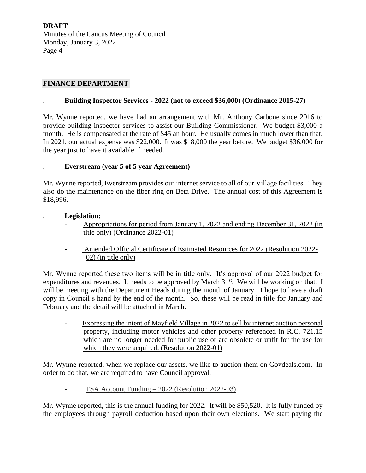## **FINANCE DEPARTMENT**

#### **. Building Inspector Services - 2022 (not to exceed \$36,000) (Ordinance 2015-27)**

Mr. Wynne reported, we have had an arrangement with Mr. Anthony Carbone since 2016 to provide building inspector services to assist our Building Commissioner. We budget \$3,000 a month. He is compensated at the rate of \$45 an hour. He usually comes in much lower than that. In 2021, our actual expense was \$22,000. It was \$18,000 the year before. We budget \$36,000 for the year just to have it available if needed.

#### **. Everstream (year 5 of 5 year Agreement)**

Mr. Wynne reported, Everstream provides our internet service to all of our Village facilities. They also do the maintenance on the fiber ring on Beta Drive. The annual cost of this Agreement is \$18,996.

#### **. Legislation:**

- Appropriations for period from January 1, 2022 and ending December 31, 2022 (in title only) (Ordinance 2022-01)
- -Amended Official Certificate of Estimated Resources for 2022 (Resolution 2022- 02) (in title only)

Mr. Wynne reported these two items will be in title only. It's approval of our 2022 budget for expenditures and revenues. It needs to be approved by March  $31<sup>st</sup>$ . We will be working on that. I will be meeting with the Department Heads during the month of January. I hope to have a draft copy in Council's hand by the end of the month. So, these will be read in title for January and February and the detail will be attached in March.

- Expressing the intent of Mayfield Village in 2022 to sell by internet auction personal property, including motor vehicles and other property referenced in R.C. 721.15 which are no longer needed for public use or are obsolete or unfit for the use for which they were acquired. (Resolution 2022-01)

Mr. Wynne reported, when we replace our assets, we like to auction them on Govdeals.com. In order to do that, we are required to have Council approval.

#### - FSA Account Funding – 2022 (Resolution 2022-03)

Mr. Wynne reported, this is the annual funding for 2022. It will be \$50,520. It is fully funded by the employees through payroll deduction based upon their own elections. We start paying the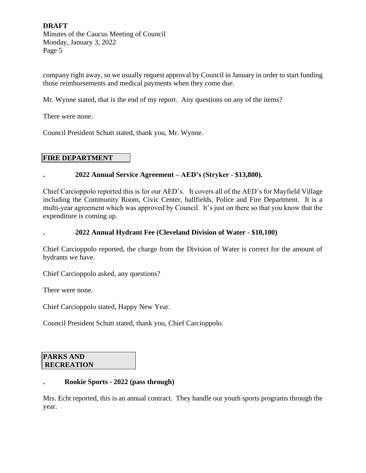company right away, so we usually request approval by Council in January in order to start funding those reimbursements and medical payments when they come due.

Mr. Wynne stated, that is the end of my report. Any questions on any of the items?

There were none.

Council President Schutt stated, thank you, Mr. Wynne.

## **FIRE DEPARTMENT**

#### **. 2022 Annual Service Agreement – AED's (Stryker - \$13,800).**

Chief Carcioppolo reported this is for our AED's. It covers all of the AED's for Mayfield Village including the Community Room, Civic Center, ballfields, Police and Fire Department. It is a multi-year agreement which was approved by Council. It's just on there so that you know that the expenditure is coming up.

**. 2022 Annual Hydrant Fee (Cleveland Division of Water - \$10,100)**

Chief Carcioppolo reported, the charge from the Division of Water is correct for the amount of hydrants we have.

Chief Carcioppolo asked, any questions?

There were none.

Chief Carcioppolo stated, Happy New Year.

Council President Schutt stated, thank you, Chief Carcioppolo.

#### **PARKS AND RECREATION**

#### **. Rookie Sports - 2022 (pass through)**

Mrs. Echt reported, this is an annual contract. They handle our youth sports programs through the year.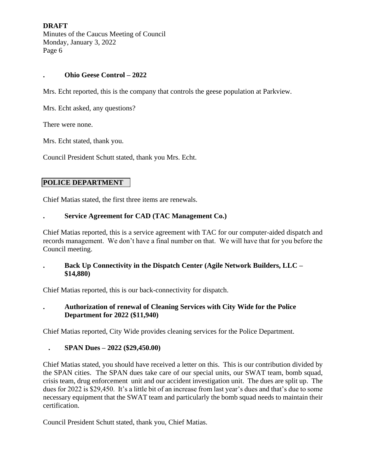#### **. Ohio Geese Control – 2022**

Mrs. Echt reported, this is the company that controls the geese population at Parkview.

Mrs. Echt asked, any questions?

There were none.

Mrs. Echt stated, thank you.

Council President Schutt stated, thank you Mrs. Echt.

## **POLICE DEPARTMENT**

Chief Matias stated, the first three items are renewals.

## **. Service Agreement for CAD (TAC Management Co.)**

Chief Matias reported, this is a service agreement with TAC for our computer-aided dispatch and records management. We don't have a final number on that. We will have that for you before the Council meeting.

#### **. Back Up Connectivity in the Dispatch Center (Agile Network Builders, LLC – \$14,880)**

Chief Matias reported, this is our back-connectivity for dispatch.

## **. Authorization of renewal of Cleaning Services with City Wide for the Police Department for 2022 (\$11,940)**

Chief Matias reported, City Wide provides cleaning services for the Police Department.

#### **. SPAN Dues – 2022 (\$29,450.00)**

Chief Matias stated, you should have received a letter on this. This is our contribution divided by the SPAN cities. The SPAN dues take care of our special units, our SWAT team, bomb squad, crisis team, drug enforcement unit and our accident investigation unit. The dues are split up. The dues for 2022 is \$29,450. It's a little bit of an increase from last year's dues and that's due to some necessary equipment that the SWAT team and particularly the bomb squad needs to maintain their certification.

Council President Schutt stated, thank you, Chief Matias.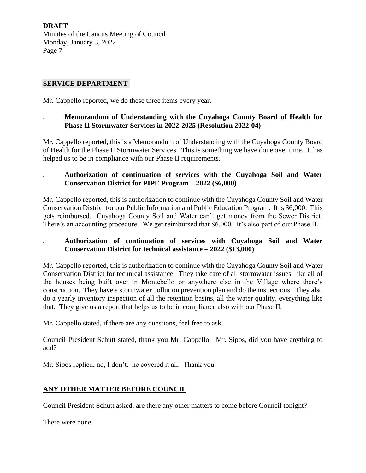## **SERVICE DEPARTMENT**

Mr. Cappello reported, we do these three items every year.

## **. Memorandum of Understanding with the Cuyahoga County Board of Health for Phase II Stormwater Services in 2022-2025 (Resolution 2022-04)**

Mr. Cappello reported, this is a Memorandum of Understanding with the Cuyahoga County Board of Health for the Phase II Stormwater Services. This is something we have done over time. It has helped us to be in compliance with our Phase II requirements.

## **. Authorization of continuation of services with the Cuyahoga Soil and Water Conservation District for PIPE Program – 2022 (\$6,000)**

Mr. Cappello reported, this is authorization to continue with the Cuyahoga County Soil and Water Conservation District for our Public Information and Public Education Program. It is \$6,000. This gets reimbursed. Cuyahoga County Soil and Water can't get money from the Sewer District. There's an accounting procedure. We get reimbursed that \$6,000. It's also part of our Phase II.

## **. Authorization of continuation of services with Cuyahoga Soil and Water Conservation District for technical assistance – 2022 (\$13,000)**

Mr. Cappello reported, this is authorization to continue with the Cuyahoga County Soil and Water Conservation District for technical assistance. They take care of all stormwater issues, like all of the houses being built over in Montebello or anywhere else in the Village where there's construction. They have a stormwater pollution prevention plan and do the inspections. They also do a yearly inventory inspection of all the retention basins, all the water quality, everything like that. They give us a report that helps us to be in compliance also with our Phase II.

Mr. Cappello stated, if there are any questions, feel free to ask.

Council President Schutt stated, thank you Mr. Cappello. Mr. Sipos, did you have anything to add?

Mr. Sipos replied, no, I don't. he covered it all. Thank you.

## **ANY OTHER MATTER BEFORE COUNCIL**

Council President Schutt asked, are there any other matters to come before Council tonight?

There were none.